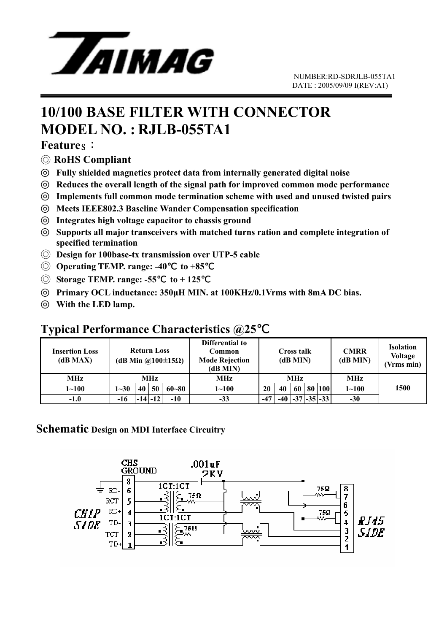

# **10/100 BASE FILTER WITH CONNECTOR MODEL NO. : RJLB-055TA1**

#### **Features:**

◎ **RoHS Compliant** 

◎ **Fully shielded magnetics protect data from internally generated digital noise**  Reduces the overall length of the signal path for improved common mode performance Implements full common mode termination scheme with used and unused twisted pairs ◎ **Meets IEEE802.3 Baseline Wander Compensation specification**  Integrates high voltage capacitor to chassis ground

Supports all major transceivers with matched turns ration and complete integration of **specified termination** 

- ◎ **Design for 100base-tx transmission over UTP-5 cable**
- ◎ **Operating TEMP. range: -40**℃ **to +85**℃
- ◎ **Storage TEMP. range: -55**℃ **to + 125**℃

◎ **Primary OCL inductance: 350µH MIN. at 100KHz/0.1Vrms with 8mA DC bias.**  With the LED lamp.

#### **Typical Performance Characteristics @25**℃

| <b>Insertion Loss</b><br>(dB MAX) | <b>Return Loss</b><br>(dB Min @100 $\pm$ 15 $\Omega$ ) |             |    |           | Differential to<br>Common<br><b>Mode Rejection</b><br>(dB MIN) | <b>Cross talk</b><br>(dB MIN) |       |    |  | <b>CMRR</b><br>(dB MIN) | <b>Isolation</b><br><b>Voltage</b><br>(Vrms min) |      |
|-----------------------------------|--------------------------------------------------------|-------------|----|-----------|----------------------------------------------------------------|-------------------------------|-------|----|--|-------------------------|--------------------------------------------------|------|
| MHz                               | MHz                                                    |             |    |           | MHz                                                            | MHz                           |       |    |  |                         | <b>MHz</b>                                       |      |
| $1 - 100$                         | $1 - 30$                                               | 40          | 50 | $60 - 80$ | $1 - 100$                                                      | 20                            | 40    | 60 |  | 80 100                  | $1 - 100$                                        | 1500 |
| $-1.0$                            | -16                                                    | $ -14 -12 $ |    | $-10$     | $-33$                                                          | $-47$                         | $-40$ |    |  | $-37$ $-35$ $-33$       | $-30$                                            |      |

#### **Schematic Design on MDI Interface Circuitry**

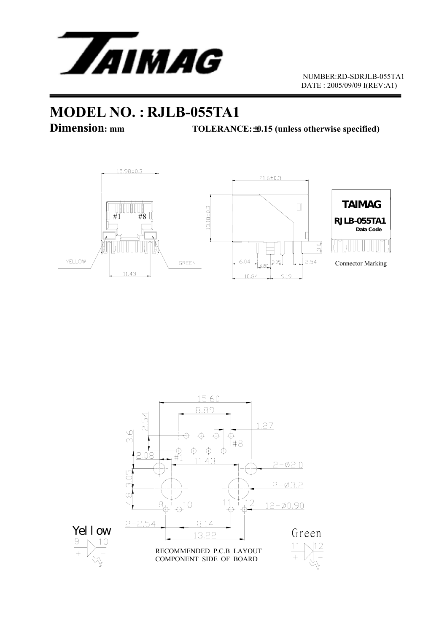

## **MODEL NO. : RJLB-055TA1**

**Dimension:** mm TOLERANCE: $\pm$ 0.15 (unless otherwise specified)



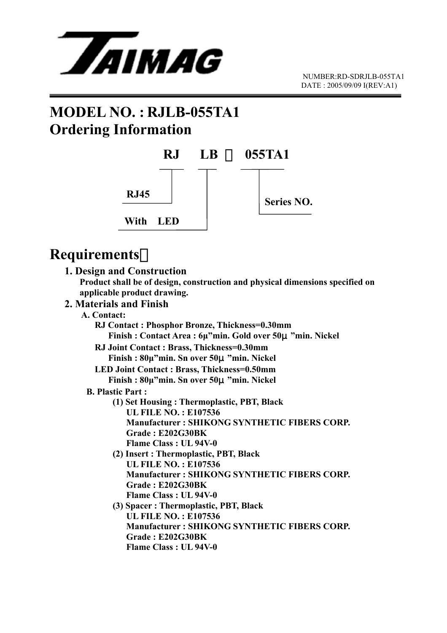

# **MODEL NO. : RJLB-055TA1 Ordering Information**



## **Requirements**:

#### **1. Design and Construction**

 **Product shall be of design, construction and physical dimensions specified on applicable product drawing.** 

#### **2. Materials and Finish**

#### **A. Contact:**

 **RJ Contact : Phosphor Bronze, Thickness=0.30mm Finish : Contact Area : 6µ"min. Gold over 50**μ**"min. Nickel RJ Joint Contact : Brass, Thickness=0.30mm Finish : 80µ"min. Sn over 50**μ**"min. Nickel LED Joint Contact : Brass, Thickness=0.50mm Finish : 80µ"min. Sn over 50**μ**"min. Nickel B. Plastic Part : (1) Set Housing : Thermoplastic, PBT, Black UL FILE NO. : E107536 Manufacturer : SHIKONG SYNTHETIC FIBERS CORP. Grade : E202G30BK Flame Class : UL 94V-0 (2) Insert : Thermoplastic, PBT, Black UL FILE NO. : E107536 Manufacturer : SHIKONG SYNTHETIC FIBERS CORP. Grade : E202G30BK Flame Class : UL 94V-0 (3) Spacer : Thermoplastic, PBT, Black UL FILE NO. : E107536 Manufacturer : SHIKONG SYNTHETIC FIBERS CORP. Grade : E202G30BK Flame Class : UL 94V-0**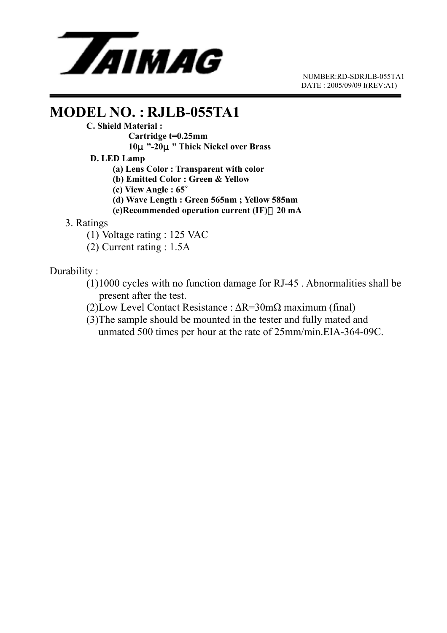

 NUMBER:RD-SDRJLB-055TA1 DATE : 2005/09/09 I(REV:A1)

# **MODEL NO. : RJLB-055TA1**<br>C. Shield Material :

 **Cartridge t=0.25mm** 

 **10**μ**"-20**μ**" Thick Nickel over Brass** 

 **D. LED Lamp** 

 **(a) Lens Color : Transparent with color** 

 **(b) Emitted Color : Green & Yellow** 

 **(c) View Angle : 65**∘

 **(d) Wave Length : Green 565nm ; Yellow 585nm** 

 **(e)Recommended operation current (IF)**:**20 mA**

3. Ratings

(1) Voltage rating : 125 VAC

(2) Current rating : 1.5A

Durability :

 (1)1000 cycles with no function damage for RJ-45 . Abnormalities shall be present after the test.

(2)Low Level Contact Resistance : ∆R=30mΩ maximum (final)

(3)The sample should be mounted in the tester and fully mated and unmated 500 times per hour at the rate of 25mm/min.EIA-364-09C.